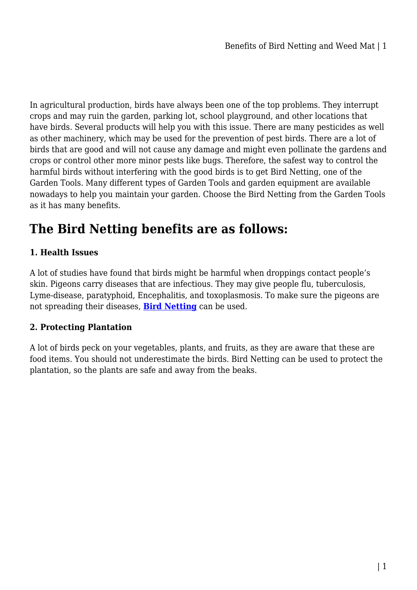In agricultural production, birds have always been one of the top problems. They interrupt crops and may ruin the garden, parking lot, school playground, and other locations that have birds. Several products will help you with this issue. There are many pesticides as well as other machinery, which may be used for the prevention of pest birds. There are a lot of birds that are good and will not cause any damage and might even pollinate the gardens and crops or control other more minor pests like bugs. Therefore, the safest way to control the harmful birds without interfering with the good birds is to get Bird Netting, one of the Garden Tools. Many different types of Garden Tools and garden equipment are available nowadays to help you maintain your garden. Choose the Bird Netting from the Garden Tools as it has many benefits.

# **The Bird Netting benefits are as follows:**

# **1. Health Issues**

A lot of studies have found that birds might be harmful when droppings contact people's skin. Pigeons carry diseases that are infectious. They may give people flu, tuberculosis, Lyme-disease, paratyphoid, Encephalitis, and toxoplasmosis. To make sure the pigeons are not spreading their diseases, **[Bird Netting](https://gardeningtoolsonline.com.au/gardening/bird-netting/)** can be used.

## **2. Protecting Plantation**

A lot of birds peck on your vegetables, plants, and fruits, as they are aware that these are food items. You should not underestimate the birds. Bird Netting can be used to protect the plantation, so the plants are safe and away from the beaks.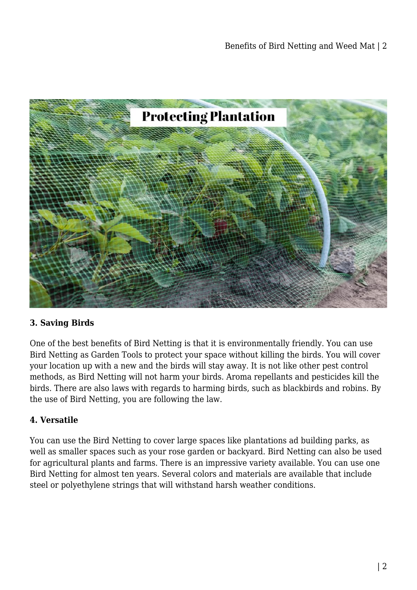

## **3. Saving Birds**

One of the best benefits of Bird Netting is that it is environmentally friendly. You can use Bird Netting as Garden Tools to protect your space without killing the birds. You will cover your location up with a new and the birds will stay away. It is not like other pest control methods, as Bird Netting will not harm your birds. Aroma repellants and pesticides kill the birds. There are also laws with regards to harming birds, such as blackbirds and robins. By the use of Bird Netting, you are following the law.

#### **4. Versatile**

You can use the Bird Netting to cover large spaces like plantations ad building parks, as well as smaller spaces such as your rose garden or backyard. Bird Netting can also be used for agricultural plants and farms. There is an impressive variety available. You can use one Bird Netting for almost ten years. Several colors and materials are available that include steel or polyethylene strings that will withstand harsh weather conditions.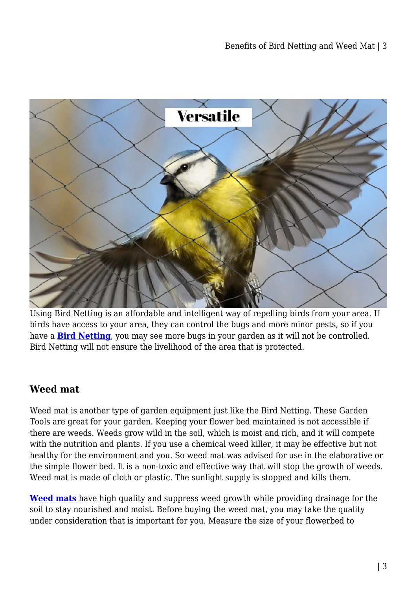

Using Bird Netting is an affordable and intelligent way of repelling birds from your area. If birds have access to your area, they can control the bugs and more minor pests, so if you have a **[Bird Netting](https://gardeningtoolsonline.com.au/gardening/bird-netting/)**, you may see more bugs in your garden as it will not be controlled. Bird Netting will not ensure the livelihood of the area that is protected.

# **Weed mat**

Weed mat is another type of garden equipment just like the Bird Netting. These Garden Tools are great for your garden. Keeping your flower bed maintained is not accessible if there are weeds. Weeds grow wild in the soil, which is moist and rich, and it will compete with the nutrition and plants. If you use a chemical weed killer, it may be effective but not healthy for the environment and you. So weed mat was advised for use in the elaborative or the simple flower bed. It is a non-toxic and effective way that will stop the growth of weeds. Weed mat is made of cloth or plastic. The sunlight supply is stopped and kills them.

**[Weed mats](https://gardeningtoolsonline.com.au/gardening/weed-control-mat/)** have high quality and suppress weed growth while providing drainage for the soil to stay nourished and moist. Before buying the weed mat, you may take the quality under consideration that is important for you. Measure the size of your flowerbed to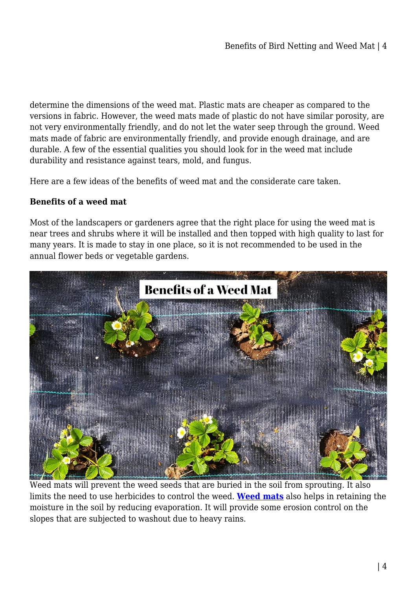determine the dimensions of the weed mat. Plastic mats are cheaper as compared to the versions in fabric. However, the weed mats made of plastic do not have similar porosity, are not very environmentally friendly, and do not let the water seep through the ground. Weed mats made of fabric are environmentally friendly, and provide enough drainage, and are durable. A few of the essential qualities you should look for in the weed mat include durability and resistance against tears, mold, and fungus.

Here are a few ideas of the benefits of weed mat and the considerate care taken.

# **Benefits of a weed mat**

Most of the landscapers or gardeners agree that the right place for using the weed mat is near trees and shrubs where it will be installed and then topped with high quality to last for many years. It is made to stay in one place, so it is not recommended to be used in the annual flower beds or vegetable gardens.



Weed mats will prevent the weed seeds that are buried in the soil from sprouting. It also limits the need to use herbicides to control the weed. **[Weed mats](https://gardeningtoolsonline.com.au/gardening/weed-control-mat/)** also helps in retaining the moisture in the soil by reducing evaporation. It will provide some erosion control on the slopes that are subjected to washout due to heavy rains.